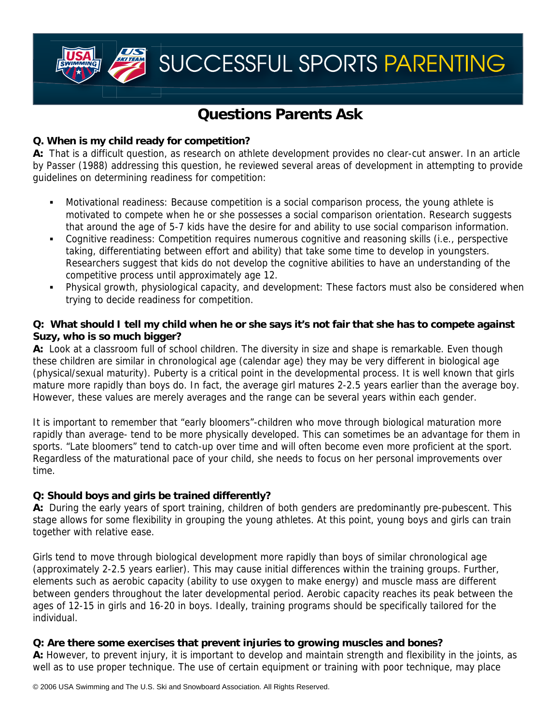SUCCESSFUL SPORTS PARENTING

# **Questions Parents Ask**

#### **Q. When is my child ready for competition?**

**A:** That is a difficult question, as research on athlete development provides no clear-cut answer. In an article by Passer (1988) addressing this question, he reviewed several areas of development in attempting to provide guidelines on determining readiness for competition:

- Motivational readiness: Because competition is a social comparison process, the young athlete is motivated to compete when he or she possesses a social comparison orientation. Research suggests that around the age of 5-7 kids have the desire for and ability to use social comparison information.
- Cognitive readiness: Competition requires numerous cognitive and reasoning skills (i.e., perspective taking, differentiating between effort and ability) that take some time to develop in youngsters. Researchers suggest that kids do not develop the cognitive abilities to have an understanding of the competitive process until approximately age 12.
- Physical growth, physiological capacity, and development: These factors must also be considered when trying to decide readiness for competition.

#### **Q: What should I tell my child when he or she says it's not fair that she has to compete against Suzy, who is so much bigger?**

**A:** Look at a classroom full of school children. The diversity in size and shape is remarkable. Even though these children are similar in chronological age (calendar age) they may be very different in biological age (physical/sexual maturity). Puberty is a critical point in the developmental process. It is well known that girls mature more rapidly than boys do. In fact, the average girl matures 2-2.5 years earlier than the average boy. However, these values are merely averages and the range can be several years within each gender.

It is important to remember that "early bloomers"-children who move through biological maturation more rapidly than average- tend to be more physically developed. This can sometimes be an advantage for them in sports. "Late bloomers" tend to catch-up over time and will often become even more proficient at the sport. Regardless of the maturational pace of your child, she needs to focus on her personal improvements over time.

# **Q: Should boys and girls be trained differently?**

**A:** During the early years of sport training, children of both genders are predominantly pre-pubescent. This stage allows for some flexibility in grouping the young athletes. At this point, young boys and girls can train together with relative ease.

Girls tend to move through biological development more rapidly than boys of similar chronological age (approximately 2-2.5 years earlier). This may cause initial differences within the training groups. Further, elements such as aerobic capacity (ability to use oxygen to make energy) and muscle mass are different between genders throughout the later developmental period. Aerobic capacity reaches its peak between the ages of 12-15 in girls and 16-20 in boys. Ideally, training programs should be specifically tailored for the individual.

#### **Q: Are there some exercises that prevent injuries to growing muscles and bones?**

**A:** However, to prevent injury, it is important to develop and maintain strength and flexibility in the joints, as well as to use proper technique. The use of certain equipment or training with poor technique, may place